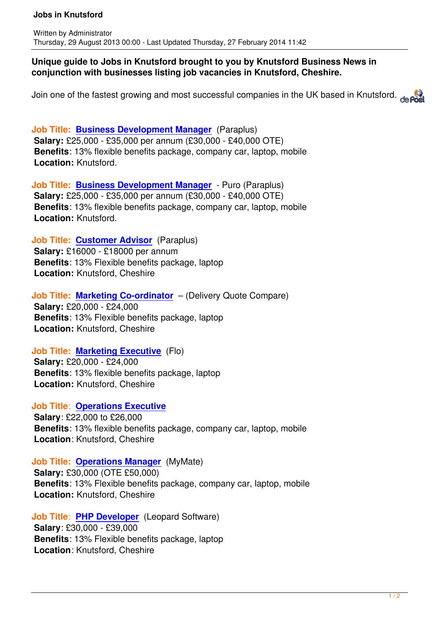Written by Administrator and Administrator and Administrator and Administrator and Administrator and Administrator and Administrator and Administrator and Administrator and Administrator and Administrator and Administrator

### **Unique guide to Jobs in Knutsford brought to you by Knutsford Business News in conjunction with businesses listing job vacancies in Knutsford, Cheshire.**

Join one of the fastest growing and most successful companies in the UK based in Knutsford. deposit

**Job Title: Business Development Manager** (Paraplus) **Salary:** £25,000 - £35,000 per annum (£30,000 - £40,000 OTE) **Benefits**: 13% flexible benefits package, company car, laptop, mobile **Location:** [Knutsford.](http://www.brookfieldrose.co.uk/careers)

**Job Title: Business Development Manager** - Puro (Paraplus) **Salary:** £25,000 - £35,000 per annum (£30,000 - £40,000 OTE) **Benefits**: 13% flexible benefits package, company car, laptop, mobile **Location:** [Knutsford.](http://www.brookfieldrose.co.uk/careers)

**Job Title: Customer Advisor** (Paraplus) **Salary:** £16000 - £18000 per annum **Benefits**: 13% Flexible benefits package, laptop **Location:** [Knutsford, Cheshire](http://www.brookfieldrose.co.uk/careers)

# **Job Title: Marketing Co-ordinator** – (Delivery Quote Compare)

**Salary:** £20,000 - £24,000 **Benefits**: 13% Flexible benefits package, laptop **Location:** [Knutsford, Cheshire](http://www.brookfieldrose.co.uk/careers)

## **Job Title: Marketing Executive** (Flo)

**Salary:** £20,000 - £24,000 **Benefits**: 13% flexible benefits package, laptop **Location:** [Knutsford, Cheshire](http://www.brookfieldrose.co.uk/careers)

### **Job Title**: **Operations Executive**

**Salary**: £22,000 to £26,000 **Benefits**: 13% flexible benefits package, company car, laptop, mobile **Location**: [Knutsford, Cheshire](http://www.brookfieldrose.co.uk/careers)

## **Job Title: Operations Manager** (MyMate)

**Salary:** £30,000 (OTE £50,000) **Benefits**: 13% Flexible benefits package, company car, laptop, mobile **Location:** [Knutsford, Cheshire](http://www.brookfieldrose.co.uk/careers)

**Job Title**: **PHP Developer** (Leopard Software) **Salary**: £30,000 - £39,000 **Benefits**: 13% Flexible benefits package, laptop **Location**: [Knutsford, Ches](http://www.brookfieldrose.co.uk/careers)hire